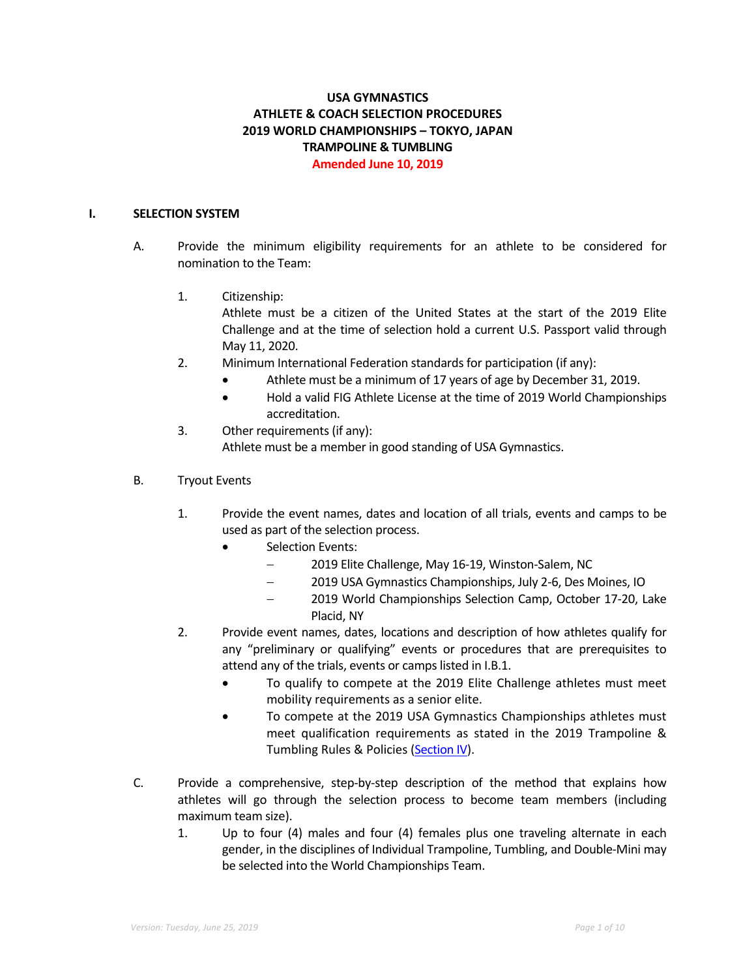# **USA GYMNASTICS ATHLETE & COACH SELECTION PROCEDURES 2019 WORLD CHAMPIONSHIPS – TOKYO, JAPAN TRAMPOLINE & TUMBLING Amended June 10, 2019**

#### **I. SELECTION SYSTEM**

- A. Provide the minimum eligibility requirements for an athlete to be considered for nomination to the Team:
	- 1. Citizenship:

Athlete must be a citizen of the United States at the start of the 2019 Elite Challenge and at the time of selection hold a current U.S. Passport valid through May 11, 2020.

- 2. Minimum International Federation standards for participation (if any):
	- Athlete must be a minimum of 17 years of age by December 31, 2019.
	- Hold a valid FIG Athlete License at the time of 2019 World Championships accreditation.
- 3. Other requirements (if any): Athlete must be a member in good standing of USA Gymnastics.
- B. Tryout Events
	- 1. Provide the event names, dates and location of all trials, events and camps to be used as part of the selection process.
		- Selection Events:
			- 2019 Elite Challenge, May 16-19, Winston-Salem, NC
			- 2019 USA Gymnastics Championships, July 2-6, Des Moines, IO
			- 2019 World Championships Selection Camp, October 17-20, Lake Placid, NY
	- 2. Provide event names, dates, locations and description of how athletes qualify for any "preliminary or qualifying" events or procedures that are prerequisites to attend any of the trials, events or camps listed in I.B.1.
		- To qualify to compete at the 2019 Elite Challenge athletes must meet mobility requirements as a senior elite.
		- To compete at the 2019 USA Gymnastics Championships athletes must meet qualification requirements as stated in the 2019 Trampoline & Tumbling Rules & Policies (Section IV).
- C. Provide a comprehensive, step-by-step description of the method that explains how athletes will go through the selection process to become team members (including maximum team size).
	- 1. Up to four (4) males and four (4) females plus one traveling alternate in each gender, in the disciplines of Individual Trampoline, Tumbling, and Double-Mini may be selected into the World Championships Team.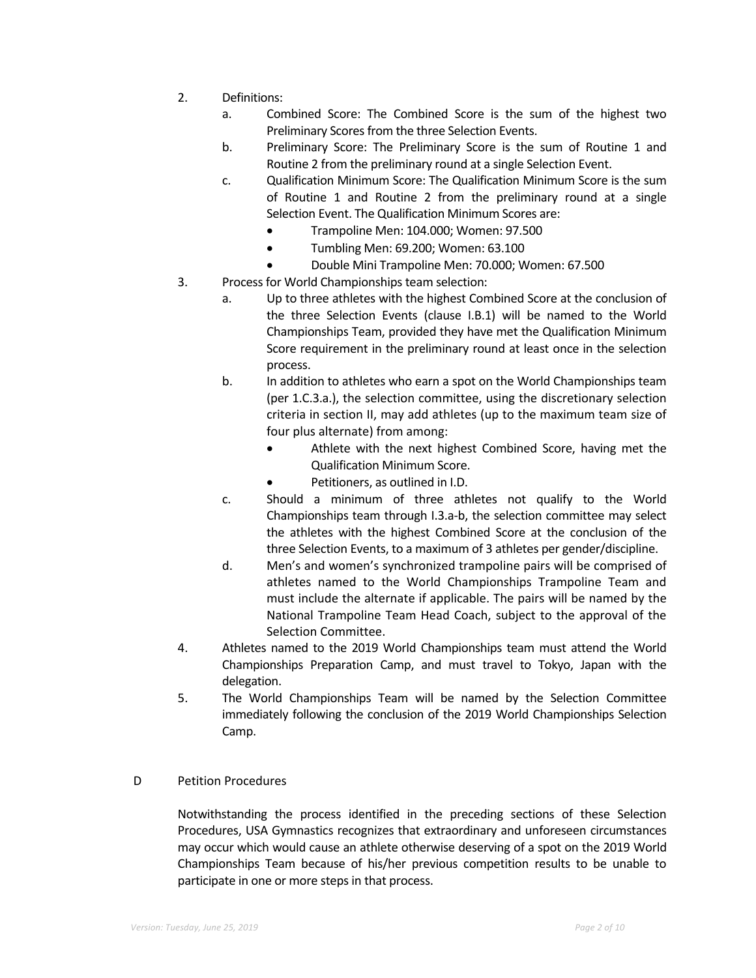- 2. Definitions:
	- a. Combined Score: The Combined Score is the sum of the highest two Preliminary Scores from the three Selection Events.
	- b. Preliminary Score: The Preliminary Score is the sum of Routine 1 and Routine 2 from the preliminary round at a single Selection Event.
	- c. Qualification Minimum Score: The Qualification Minimum Score is the sum of Routine 1 and Routine 2 from the preliminary round at a single Selection Event. The Qualification Minimum Scores are:
		- Trampoline Men: 104.000; Women: 97.500
		- Tumbling Men: 69.200; Women: 63.100
		- Double Mini Trampoline Men: 70.000; Women: 67.500
- 3. Process for World Championships team selection:
	- a. Up to three athletes with the highest Combined Score at the conclusion of the three Selection Events (clause I.B.1) will be named to the World Championships Team, provided they have met the Qualification Minimum Score requirement in the preliminary round at least once in the selection process.
	- b. In addition to athletes who earn a spot on the World Championships team (per 1.C.3.a.), the selection committee, using the discretionary selection criteria in section II, may add athletes (up to the maximum team size of four plus alternate) from among:
		- Athlete with the next highest Combined Score, having met the Qualification Minimum Score.
		- Petitioners, as outlined in I.D.
	- c. Should a minimum of three athletes not qualify to the World Championships team through I.3.a-b, the selection committee may select the athletes with the highest Combined Score at the conclusion of the three Selection Events, to a maximum of 3 athletes per gender/discipline.
	- d. Men's and women's synchronized trampoline pairs will be comprised of athletes named to the World Championships Trampoline Team and must include the alternate if applicable. The pairs will be named by the National Trampoline Team Head Coach, subject to the approval of the Selection Committee.
- 4. Athletes named to the 2019 World Championships team must attend the World Championships Preparation Camp, and must travel to Tokyo, Japan with the delegation.
- 5. The World Championships Team will be named by the Selection Committee immediately following the conclusion of the 2019 World Championships Selection Camp.

# D Petition Procedures

Notwithstanding the process identified in the preceding sections of these Selection Procedures, USA Gymnastics recognizes that extraordinary and unforeseen circumstances may occur which would cause an athlete otherwise deserving of a spot on the 2019 World Championships Team because of his/her previous competition results to be unable to participate in one or more steps in that process.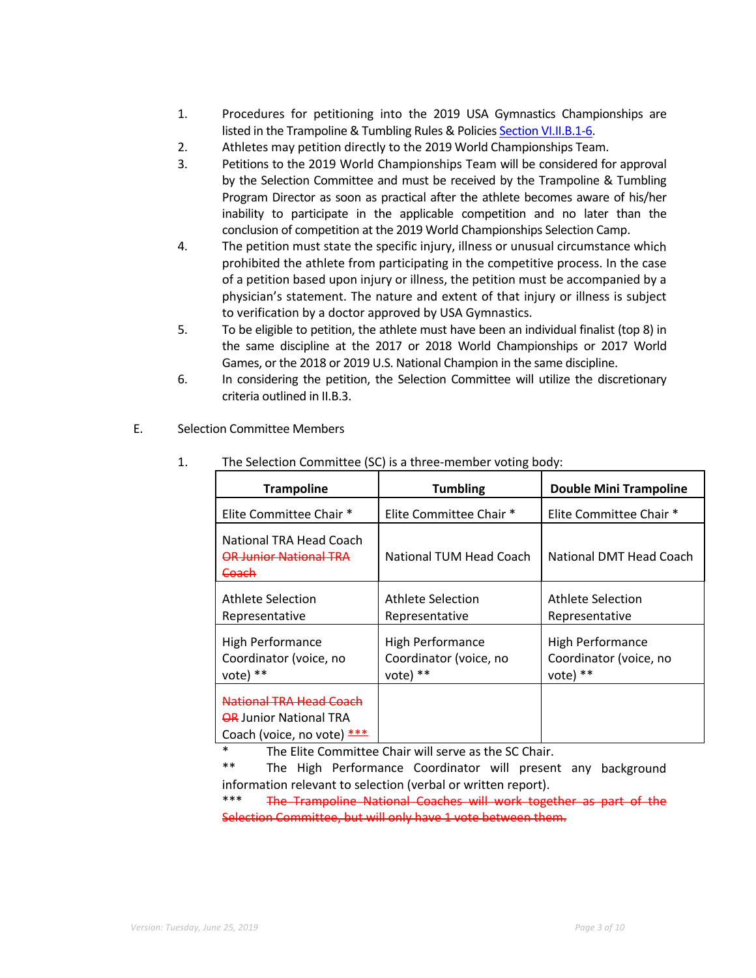- 1. Procedures for petitioning into the 2019 USA Gymnastics Championships are listed in the Trampoline & Tumbling Rules & Policies Section VI.II.B.1-6.
- 2. Athletes may petition directly to the 2019 World Championships Team.
- 3. Petitions to the 2019 World Championships Team will be considered for approval by the Selection Committee and must be received by the Trampoline & Tumbling Program Director as soon as practical after the athlete becomes aware of his/her inability to participate in the applicable competition and no later than the conclusion of competition at the 2019 World Championships Selection Camp.
- 4. The petition must state the specific injury, illness or unusual circumstance which prohibited the athlete from participating in the competitive process. In the case of a petition based upon injury or illness, the petition must be accompanied by a physician's statement. The nature and extent of that injury or illness is subject to verification by a doctor approved by USA Gymnastics.
- 5. To be eligible to petition, the athlete must have been an individual finalist (top 8) in the same discipline at the 2017 or 2018 World Championships or 2017 World Games, or the 2018 or 2019 U.S. National Champion in the same discipline.
- 6. In considering the petition, the Selection Committee will utilize the discretionary criteria outlined in II.B.3.
- 1. The Selection Committee (SC) is a three-member voting body: **Trampoline 12 Tumbling 12 Tumbling 12 Tumbling 12 Double Mini Trampoline** Elite Committee Chair \* Elite Committee Chair \* Elite Committee Chair \* National TRA Head Coach OR Junior National TRA **Coach** National TUM Head Coach | National DMT Head Coach Athlete Selection Representative Athlete Selection Representative Athlete Selection Representative High Performance Coordinator (voice, no vote) \*\* High Performance Coordinator (voice, no vote) \*\* High Performance Coordinator (voice, no vote) \*\* National TRA Head Coach **OR Junior National TRA** Coach (voice, no vote) \*\*\*
- E. Selection Committee Members

The Elite Committee Chair will serve as the SC Chair.

\*\* The High Performance Coordinator will present any background information relevant to selection (verbal or written report).

The Trampoline National Coaches will work together as part of the Selection Committee, but will only have 1 vote between them.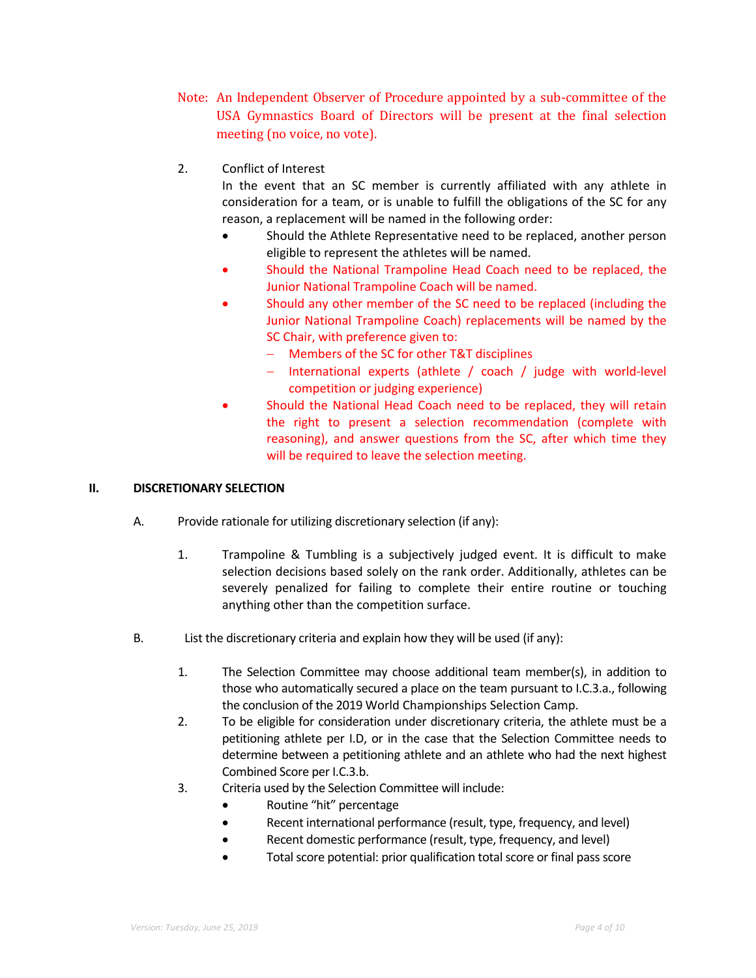- Note: An Independent Observer of Procedure appointed by a sub-committee of the USA Gymnastics Board of Directors will be present at the final selection meeting (no voice, no vote).
- 2. Conflict of Interest

In the event that an SC member is currently affiliated with any athlete in consideration for a team, or is unable to fulfill the obligations of the SC for any reason, a replacement will be named in the following order:

- Should the Athlete Representative need to be replaced, another person eligible to represent the athletes will be named.
- Should the National Trampoline Head Coach need to be replaced, the Junior National Trampoline Coach will be named.
- Should any other member of the SC need to be replaced (including the Junior National Trampoline Coach) replacements will be named by the SC Chair, with preference given to:
	- Members of the SC for other T&T disciplines
	- International experts (athlete / coach / judge with world-level competition or judging experience)
- Should the National Head Coach need to be replaced, they will retain the right to present a selection recommendation (complete with reasoning), and answer questions from the SC, after which time they will be required to leave the selection meeting.

## **II. DISCRETIONARY SELECTION**

- A. Provide rationale for utilizing discretionary selection (if any):
	- 1. Trampoline & Tumbling is a subjectively judged event. It is difficult to make selection decisions based solely on the rank order. Additionally, athletes can be severely penalized for failing to complete their entire routine or touching anything other than the competition surface.
- B. List the discretionary criteria and explain how they will be used (if any):
	- 1. The Selection Committee may choose additional team member(s), in addition to those who automatically secured a place on the team pursuant to I.C.3.a., following the conclusion of the 2019 World Championships Selection Camp.
	- 2. To be eligible for consideration under discretionary criteria, the athlete must be a petitioning athlete per I.D, or in the case that the Selection Committee needs to determine between a petitioning athlete and an athlete who had the next highest Combined Score per I.C.3.b.
	- 3. Criteria used by the Selection Committee will include:
		- Routine "hit" percentage
		- Recent international performance (result, type, frequency, and level)
		- Recent domestic performance (result, type, frequency, and level)
		- Total score potential: prior qualification total score or final pass score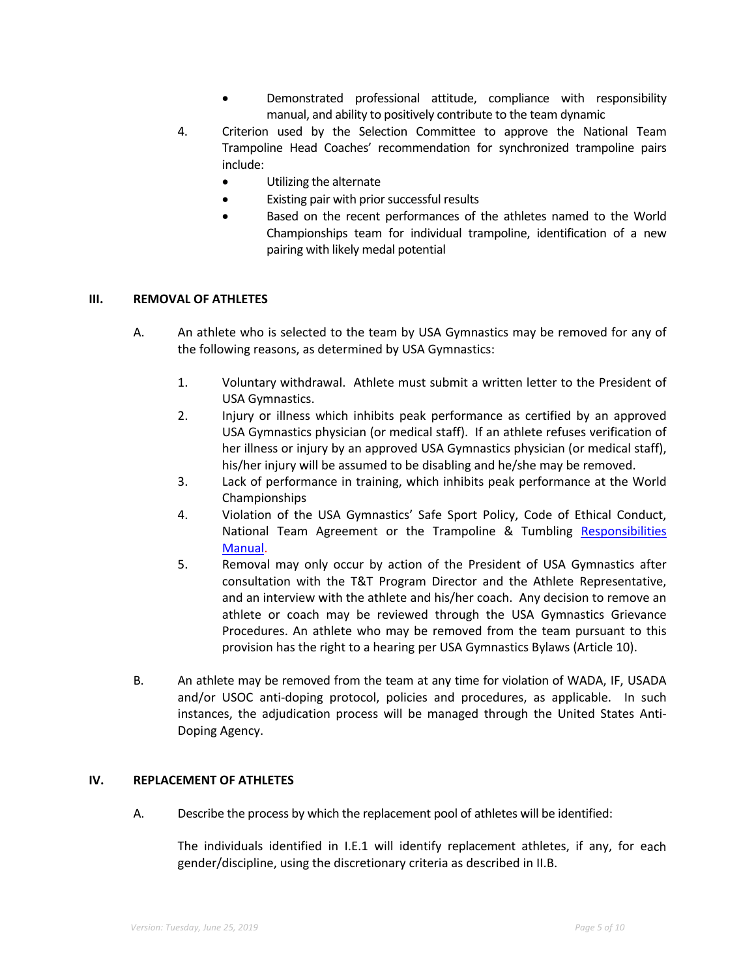- Demonstrated professional attitude, compliance with responsibility manual, and ability to positively contribute to the team dynamic
- 4. Criterion used by the Selection Committee to approve the National Team Trampoline Head Coaches' recommendation for synchronized trampoline pairs include:
	- Utilizing the alternate
	- Existing pair with prior successful results
	- Based on the recent performances of the athletes named to the World Championships team for individual trampoline, identification of a new pairing with likely medal potential

## **III. REMOVAL OF ATHLETES**

- A. An athlete who is selected to the team by USA Gymnastics may be removed for any of the following reasons, as determined by USA Gymnastics:
	- 1. Voluntary withdrawal. Athlete must submit a written letter to the President of USA Gymnastics.
	- 2. Injury or illness which inhibits peak performance as certified by an approved USA Gymnastics physician (or medical staff). If an athlete refuses verification of her illness or injury by an approved USA Gymnastics physician (or medical staff), his/her injury will be assumed to be disabling and he/she may be removed.
	- 3. Lack of performance in training, which inhibits peak performance at the World Championships
	- 4. Violation of the USA Gymnastics' Safe Sport Policy, Code of Ethical Conduct, National Team Agreement or the Trampoline & Tumbling Responsibilities Manual.
	- 5. Removal may only occur by action of the President of USA Gymnastics after consultation with the T&T Program Director and the Athlete Representative, and an interview with the athlete and his/her coach. Any decision to remove an athlete or coach may be reviewed through the USA Gymnastics Grievance Procedures. An athlete who may be removed from the team pursuant to this provision has the right to a hearing per USA Gymnastics Bylaws (Article 10).
- B. An athlete may be removed from the team at any time for violation of WADA, IF, USADA and/or USOC anti-doping protocol, policies and procedures, as applicable. In such instances, the adjudication process will be managed through the United States Anti-Doping Agency.

## **IV. REPLACEMENT OF ATHLETES**

A. Describe the process by which the replacement pool of athletes will be identified:

The individuals identified in I.E.1 will identify replacement athletes, if any, for each gender/discipline, using the discretionary criteria as described in II.B.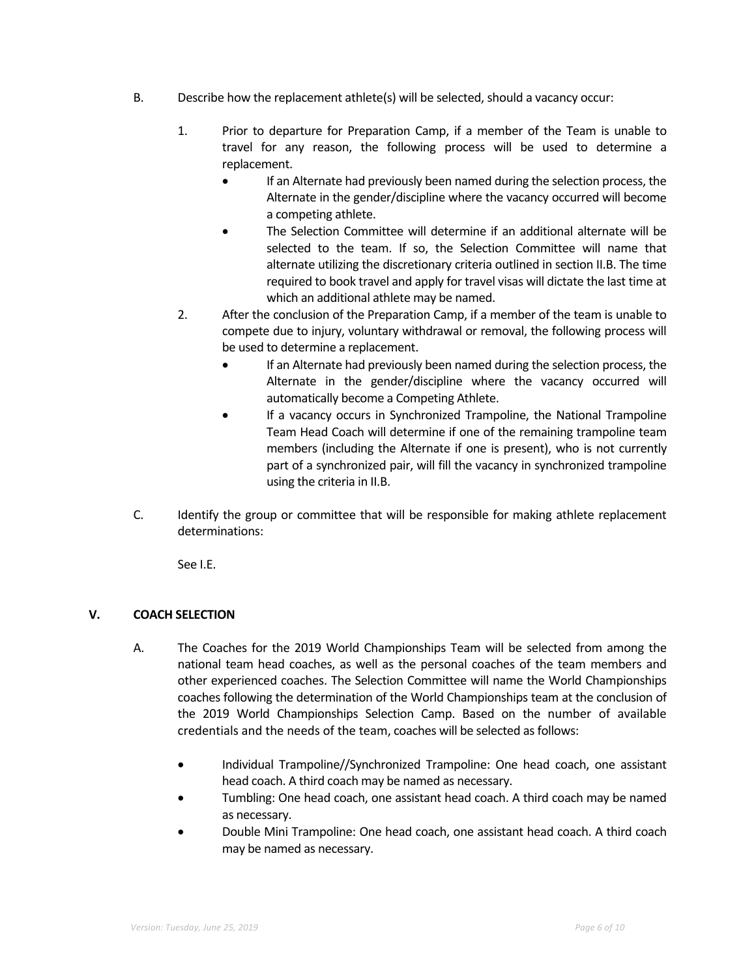- B. Describe how the replacement athlete(s) will be selected, should a vacancy occur:
	- 1. Prior to departure for Preparation Camp, if a member of the Team is unable to travel for any reason, the following process will be used to determine a replacement.
		- If an Alternate had previously been named during the selection process, the Alternate in the gender/discipline where the vacancy occurred will become a competing athlete.
		- The Selection Committee will determine if an additional alternate will be selected to the team. If so, the Selection Committee will name that alternate utilizing the discretionary criteria outlined in section II.B. The time required to book travel and apply for travel visas will dictate the last time at which an additional athlete may be named.
	- 2. After the conclusion of the Preparation Camp, if a member of the team is unable to compete due to injury, voluntary withdrawal or removal, the following process will be used to determine a replacement.
		- If an Alternate had previously been named during the selection process, the Alternate in the gender/discipline where the vacancy occurred will automatically become a Competing Athlete.
		- If a vacancy occurs in Synchronized Trampoline, the National Trampoline Team Head Coach will determine if one of the remaining trampoline team members (including the Alternate if one is present), who is not currently part of a synchronized pair, will fill the vacancy in synchronized trampoline using the criteria in II.B.
- C. Identify the group or committee that will be responsible for making athlete replacement determinations:

See I.E.

# **V. COACH SELECTION**

- A. The Coaches for the 2019 World Championships Team will be selected from among the national team head coaches, as well as the personal coaches of the team members and other experienced coaches. The Selection Committee will name the World Championships coaches following the determination of the World Championships team at the conclusion of the 2019 World Championships Selection Camp. Based on the number of available credentials and the needs of the team, coaches will be selected as follows:
	- Individual Trampoline//Synchronized Trampoline: One head coach, one assistant head coach. A third coach may be named as necessary.
	- Tumbling: One head coach, one assistant head coach. A third coach may be named as necessary.
	- Double Mini Trampoline: One head coach, one assistant head coach. A third coach may be named as necessary.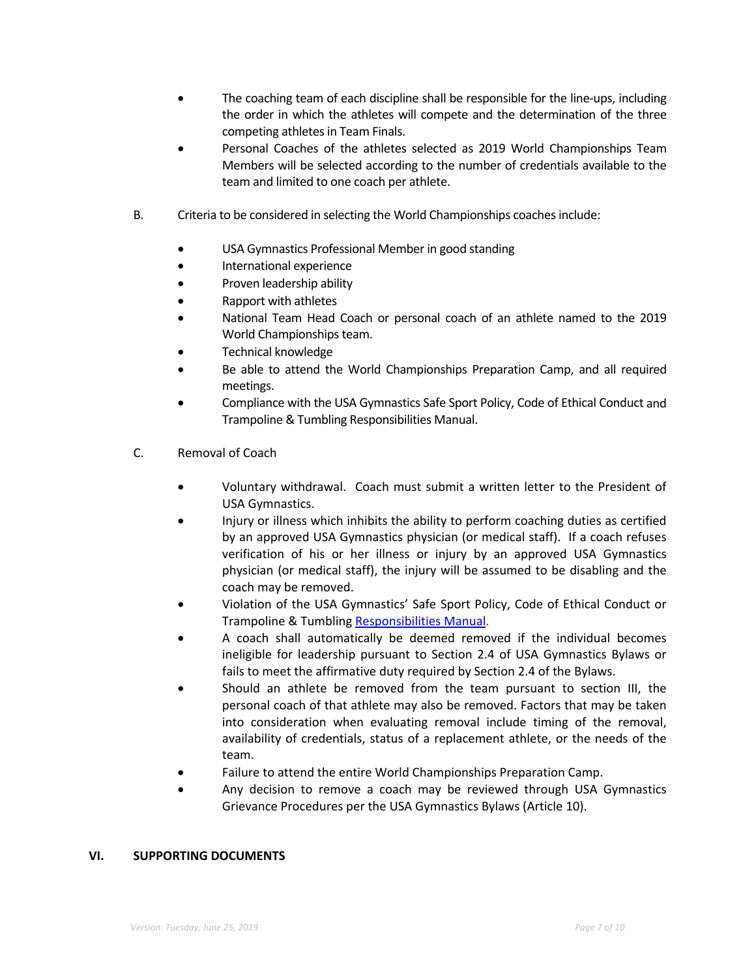- The coaching team of each discipline shall be responsible for the line-ups, including the order in which the athletes will compete and the determination of the three competing athletes in Team Finals.
- Personal Coaches of the athletes selected as 2019 World Championships Team Members will be selected according to the number of credentials available to the team and limited to one coach per athlete.
- B. Criteria to be considered in selecting the World Championships coaches include:
	- USA Gymnastics Professional Member in good standing
	- International experience
	- Proven leadership ability
	- Rapport with athletes
	- National Team Head Coach or personal coach of an athlete named to the 2019 World Championships team.
	- Technical knowledge
	- Be able to attend the World Championships Preparation Camp, and all required meetings.
	- Compliance with the USA Gymnastics Safe Sport Policy, Code of Ethical Conduct and Trampoline & Tumbling Responsibilities Manual.
- C. Removal of Coach
	- Voluntary withdrawal. Coach must submit a written letter to the President of USA Gymnastics.
	- Injury or illness which inhibits the ability to perform coaching duties as certified by an approved USA Gymnastics physician (or medical staff). If a coach refuses verification of his or her illness or injury by an approved USA Gymnastics physician (or medical staff), the injury will be assumed to be disabling and the coach may be removed.
	- Violation of the USA Gymnastics' Safe Sport Policy, Code of Ethical Conduct or Trampoline & Tumbling Responsibilities Manual.
	- A coach shall automatically be deemed removed if the individual becomes ineligible for leadership pursuant to Section 2.4 of USA Gymnastics Bylaws or fails to meet the affirmative duty required by Section 2.4 of the Bylaws.
	- Should an athlete be removed from the team pursuant to section III, the personal coach of that athlete may also be removed. Factors that may be taken into consideration when evaluating removal include timing of the removal, availability of credentials, status of a replacement athlete, or the needs of the team.
	- Failure to attend the entire World Championships Preparation Camp.
	- Any decision to remove a coach may be reviewed through USA Gymnastics Grievance Procedures per the USA Gymnastics Bylaws (Article 10).

## **VI. SUPPORTING DOCUMENTS**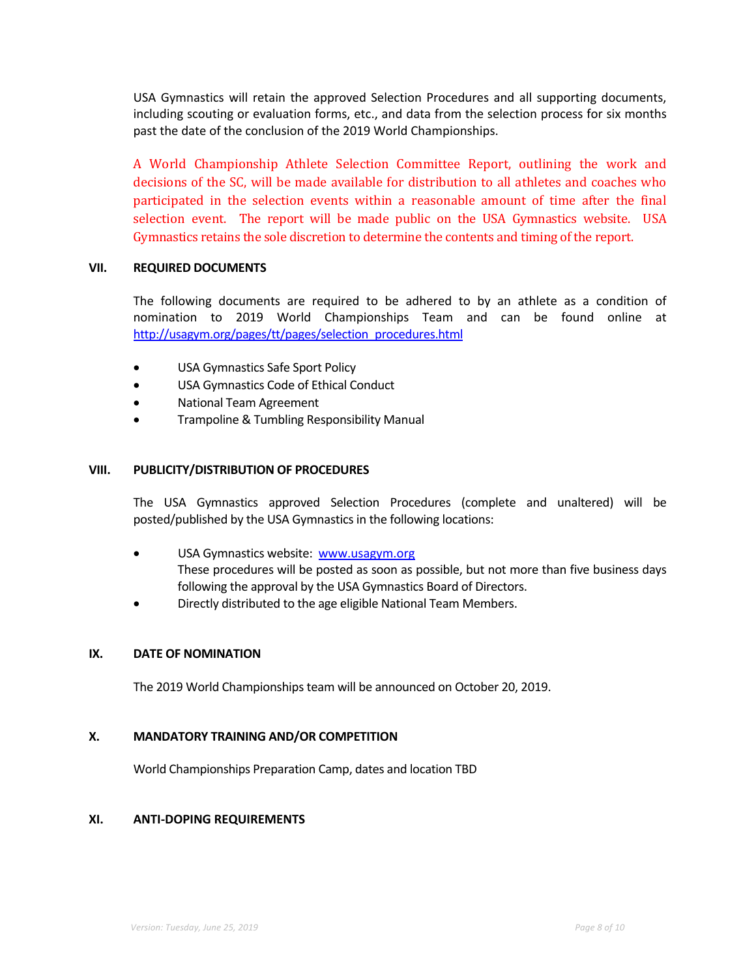USA Gymnastics will retain the approved Selection Procedures and all supporting documents, including scouting or evaluation forms, etc., and data from the selection process for six months past the date of the conclusion of the 2019 World Championships.

A World Championship Athlete Selection Committee Report, outlining the work and decisions of the SC, will be made available for distribution to all athletes and coaches who participated in the selection events within a reasonable amount of time after the final selection event. The report will be made public on the USA Gymnastics website. USA Gymnastics retains the sole discretion to determine the contents and timing of the report.

#### **VII. REQUIRED DOCUMENTS**

The following documents are required to be adhered to by an athlete as a condition of nomination to 2019 World Championships Team and can be found online at http://usagym.org/pages/tt/pages/selection\_procedures.html

- USA Gymnastics Safe Sport Policy
- USA Gymnastics Code of Ethical Conduct
- National Team Agreement
- Trampoline & Tumbling Responsibility Manual

#### **VIII. PUBLICITY/DISTRIBUTION OF PROCEDURES**

The USA Gymnastics approved Selection Procedures (complete and unaltered) will be posted/published by the USA Gymnastics in the following locations:

- USA Gymnastics website: www.usagym.org These procedures will be posted as soon as possible, but not more than five business days following the approval by the USA Gymnastics Board of Directors.
- Directly distributed to the age eligible National Team Members.

# **IX. DATE OF NOMINATION**

The 2019 World Championships team will be announced on October 20, 2019.

#### **X. MANDATORY TRAINING AND/OR COMPETITION**

World Championships Preparation Camp, dates and location TBD

#### **XI. ANTI-DOPING REQUIREMENTS**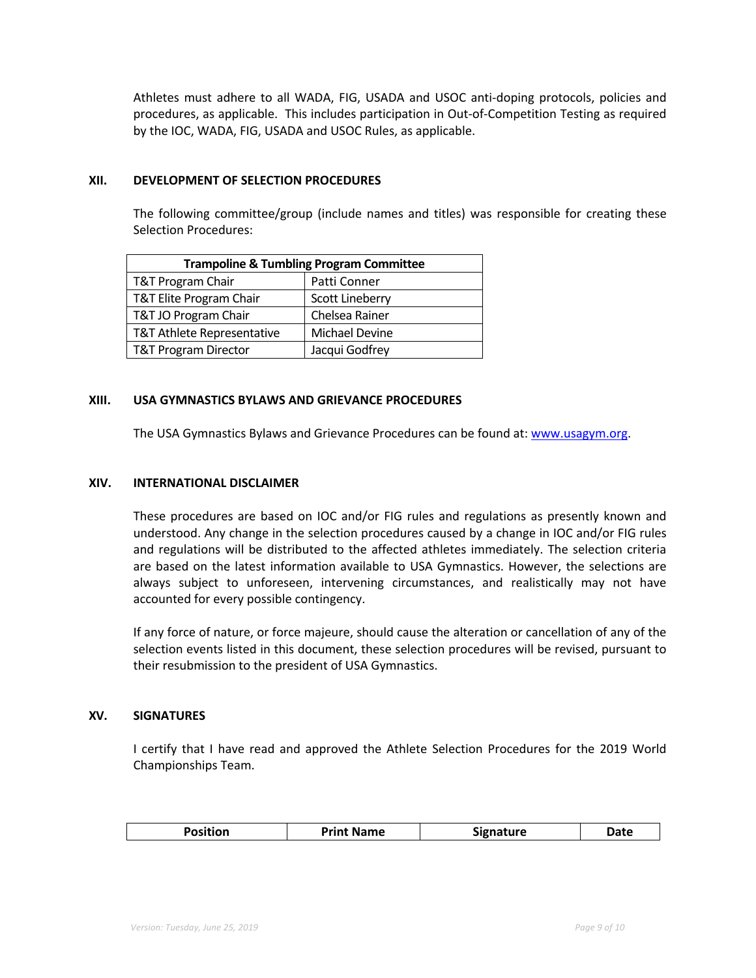Athletes must adhere to all WADA, FIG, USADA and USOC anti-doping protocols, policies and procedures, as applicable. This includes participation in Out-of-Competition Testing as required by the IOC, WADA, FIG, USADA and USOC Rules, as applicable.

#### **XII. DEVELOPMENT OF SELECTION PROCEDURES**

The following committee/group (include names and titles) was responsible for creating these Selection Procedures:

| <b>Trampoline &amp; Tumbling Program Committee</b> |                        |  |  |
|----------------------------------------------------|------------------------|--|--|
| <b>T&amp;T Program Chair</b>                       | Patti Conner           |  |  |
| T&T Elite Program Chair                            | <b>Scott Lineberry</b> |  |  |
| T&T JO Program Chair                               | Chelsea Rainer         |  |  |
| T&T Athlete Representative                         | Michael Devine         |  |  |
| <b>T&amp;T Program Director</b>                    | Jacqui Godfrey         |  |  |

# **XIII. USA GYMNASTICS BYLAWS AND GRIEVANCE PROCEDURES**

The USA Gymnastics Bylaws and Grievance Procedures can be found at: www.usagym.org.

#### **XIV. INTERNATIONAL DISCLAIMER**

These procedures are based on IOC and/or FIG rules and regulations as presently known and understood. Any change in the selection procedures caused by a change in IOC and/or FIG rules and regulations will be distributed to the affected athletes immediately. The selection criteria are based on the latest information available to USA Gymnastics. However, the selections are always subject to unforeseen, intervening circumstances, and realistically may not have accounted for every possible contingency.

If any force of nature, or force majeure, should cause the alteration or cancellation of any of the selection events listed in this document, these selection procedures will be revised, pursuant to their resubmission to the president of USA Gymnastics.

## **XV. SIGNATURES**

I certify that I have read and approved the Athlete Selection Procedures for the 2019 World Championships Team.

| --<br>Jate<br>Print<br>- - - -<br>------<br><b>Name</b><br>. |
|--------------------------------------------------------------|
|--------------------------------------------------------------|